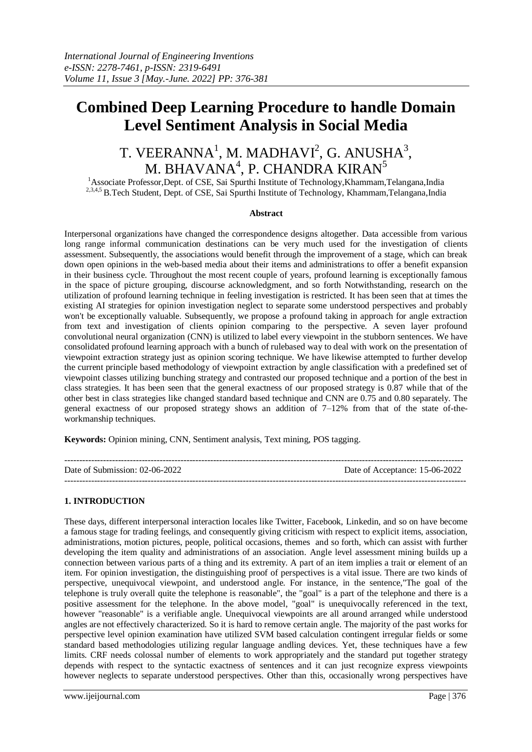## **Combined Deep Learning Procedure to handle Domain Level Sentiment Analysis in Social Media**

# T. VEERANNA<sup>1</sup>, M. MADHAVI<sup>2</sup>, G. ANUSHA<sup>3</sup>, M. BHAVANA $^{\rm 4}$ , P. CHANDRA KIRAN $^{\rm 5}$

<sup>1</sup>Associate Professor, Dept. of CSE, Sai Spurthi Institute of Technology, Khammam, Telangana, India <sup>2,3,4,5</sup> B.Tech Student, Dept. of CSE, Sai Spurthi Institute of Technology, Khammam,Telangana,India

#### **Abstract**

Interpersonal organizations have changed the correspondence designs altogether. Data accessible from various long range informal communication destinations can be very much used for the investigation of clients assessment. Subsequently, the associations would benefit through the improvement of a stage, which can break down open opinions in the web-based media about their items and administrations to offer a benefit expansion in their business cycle. Throughout the most recent couple of years, profound learning is exceptionally famous in the space of picture grouping, discourse acknowledgment, and so forth Notwithstanding, research on the utilization of profound learning technique in feeling investigation is restricted. It has been seen that at times the existing AI strategies for opinion investigation neglect to separate some understood perspectives and probably won't be exceptionally valuable. Subsequently, we propose a profound taking in approach for angle extraction from text and investigation of clients opinion comparing to the perspective. A seven layer profound convolutional neural organization (CNN) is utilized to label every viewpoint in the stubborn sentences. We have consolidated profound learning approach with a bunch of rulebased way to deal with work on the presentation of viewpoint extraction strategy just as opinion scoring technique. We have likewise attempted to further develop the current principle based methodology of viewpoint extraction by angle classification with a predefined set of viewpoint classes utilizing bunching strategy and contrasted our proposed technique and a portion of the best in class strategies. It has been seen that the general exactness of our proposed strategy is 0.87 while that of the other best in class strategies like changed standard based technique and CNN are 0.75 and 0.80 separately. The general exactness of our proposed strategy shows an addition of  $7-12\%$  from that of the state of-theworkmanship techniques.

**Keywords:** Opinion mining, CNN, Sentiment analysis, Text mining, POS tagging.

| Date of Submission: $02-06-2022$ | Date of Acceptance: 15-06-2022 |
|----------------------------------|--------------------------------|
|                                  |                                |

### **1. INTRODUCTION**

These days, different interpersonal interaction locales like Twitter, Facebook, Linkedin, and so on have become a famous stage for trading feelings, and consequently giving criticism with respect to explicit items, association, administrations, motion pictures, people, political occasions, themes and so forth, which can assist with further developing the item quality and administrations of an association. Angle level assessment mining builds up a connection between various parts of a thing and its extremity. A part of an item implies a trait or element of an item. For opinion investigation, the distinguishing proof of perspectives is a vital issue. There are two kinds of perspective, unequivocal viewpoint, and understood angle. For instance, in the sentence,"The goal of the telephone is truly overall quite the telephone is reasonable", the "goal" is a part of the telephone and there is a positive assessment for the telephone. In the above model, "goal" is unequivocally referenced in the text, however "reasonable" is a verifiable angle. Unequivocal viewpoints are all around arranged while understood angles are not effectively characterized. So it is hard to remove certain angle. The majority of the past works for perspective level opinion examination have utilized SVM based calculation contingent irregular fields or some standard based methodologies utilizing regular language andling devices. Yet, these techniques have a few limits. CRF needs colossal number of elements to work appropriately and the standard put together strategy depends with respect to the syntactic exactness of sentences and it can just recognize express viewpoints however neglects to separate understood perspectives. Other than this, occasionally wrong perspectives have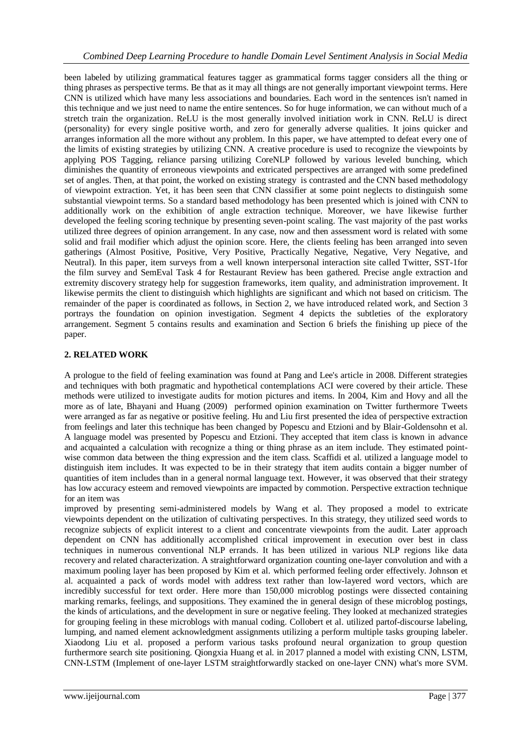been labeled by utilizing grammatical features tagger as grammatical forms tagger considers all the thing or thing phrases as perspective terms. Be that as it may all things are not generally important viewpoint terms. Here CNN is utilized which have many less associations and boundaries. Each word in the sentences isn't named in this technique and we just need to name the entire sentences. So for huge information, we can without much of a stretch train the organization. ReLU is the most generally involved initiation work in CNN. ReLU is direct (personality) for every single positive worth, and zero for generally adverse qualities. It joins quicker and arranges information all the more without any problem. In this paper, we have attempted to defeat every one of the limits of existing strategies by utilizing CNN. A creative procedure is used to recognize the viewpoints by applying POS Tagging, reliance parsing utilizing CoreNLP followed by various leveled bunching, which diminishes the quantity of erroneous viewpoints and extricated perspectives are arranged with some predefined set of angles. Then, at that point, the worked on existing strategy is contrasted and the CNN based methodology of viewpoint extraction. Yet, it has been seen that CNN classifier at some point neglects to distinguish some substantial viewpoint terms. So a standard based methodology has been presented which is joined with CNN to additionally work on the exhibition of angle extraction technique. Moreover, we have likewise further developed the feeling scoring technique by presenting seven-point scaling. The vast majority of the past works utilized three degrees of opinion arrangement. In any case, now and then assessment word is related with some solid and frail modifier which adjust the opinion score. Here, the clients feeling has been arranged into seven gatherings (Almost Positive, Positive, Very Positive, Practically Negative, Negative, Very Negative, and Neutral). In this paper, item surveys from a well known interpersonal interaction site called Twitter, SST-1for the film survey and SemEval Task 4 for Restaurant Review has been gathered. Precise angle extraction and extremity discovery strategy help for suggestion frameworks, item quality, and administration improvement. It likewise permits the client to distinguish which highlights are significant and which not based on criticism. The remainder of the paper is coordinated as follows, in Section 2, we have introduced related work, and Section 3 portrays the foundation on opinion investigation. Segment 4 depicts the subtleties of the exploratory arrangement. Segment 5 contains results and examination and Section 6 briefs the finishing up piece of the paper.

## **2. RELATED WORK**

A prologue to the field of feeling examination was found at Pang and Lee's article in 2008. Different strategies and techniques with both pragmatic and hypothetical contemplations ACI were covered by their article. These methods were utilized to investigate audits for motion pictures and items. In 2004, Kim and Hovy and all the more as of late, Bhayani and Huang (2009) performed opinion examination on Twitter furthermore Tweets were arranged as far as negative or positive feeling. Hu and Liu first presented the idea of perspective extraction from feelings and later this technique has been changed by Popescu and Etzioni and by Blair-Goldensohn et al. A language model was presented by Popescu and Etzioni. They accepted that item class is known in advance and acquainted a calculation with recognize a thing or thing phrase as an item include. They estimated pointwise common data between the thing expression and the item class. Scaffidi et al. utilized a language model to distinguish item includes. It was expected to be in their strategy that item audits contain a bigger number of quantities of item includes than in a general normal language text. However, it was observed that their strategy has low accuracy esteem and removed viewpoints are impacted by commotion. Perspective extraction technique for an item was

improved by presenting semi-administered models by Wang et al. They proposed a model to extricate viewpoints dependent on the utilization of cultivating perspectives. In this strategy, they utilized seed words to recognize subjects of explicit interest to a client and concentrate viewpoints from the audit. Later approach dependent on CNN has additionally accomplished critical improvement in execution over best in class techniques in numerous conventional NLP errands. It has been utilized in various NLP regions like data recovery and related characterization. A straightforward organization counting one-layer convolution and with a maximum pooling layer has been proposed by Kim et al. which performed feeling order effectively. Johnson et al. acquainted a pack of words model with address text rather than low-layered word vectors, which are incredibly successful for text order. Here more than 150,000 microblog postings were dissected containing marking remarks, feelings, and suppositions. They examined the in general design of these microblog postings, the kinds of articulations, and the development in sure or negative feeling. They looked at mechanized strategies for grouping feeling in these microblogs with manual coding. Collobert et al. utilized partof-discourse labeling, lumping, and named element acknowledgment assignments utilizing a perform multiple tasks grouping labeler. Xiaodong Liu et al. proposed a perform various tasks profound neural organization to group question furthermore search site positioning. Qiongxia Huang et al. in 2017 planned a model with existing CNN, LSTM, CNN-LSTM (Implement of one-layer LSTM straightforwardly stacked on one-layer CNN) what's more SVM.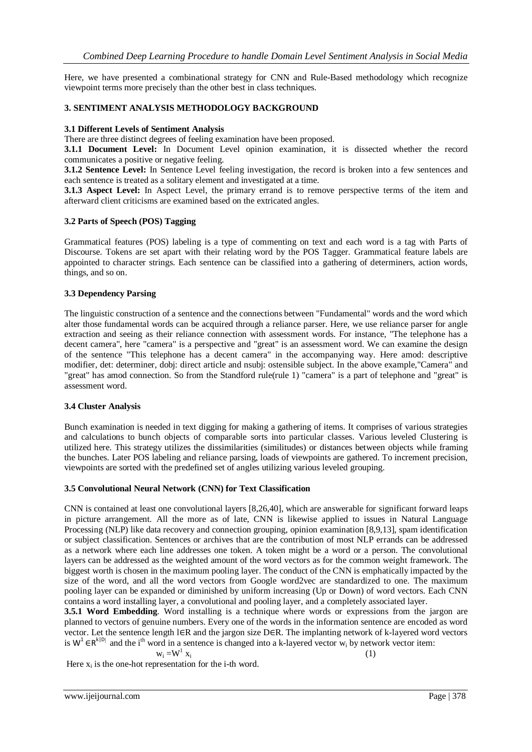Here, we have presented a combinational strategy for CNN and Rule-Based methodology which recognize viewpoint terms more precisely than the other best in class techniques.

#### **3. SENTIMENT ANALYSIS METHODOLOGY BACKGROUND**

#### **3.1 Different Levels of Sentiment Analysis**

There are three distinct degrees of feeling examination have been proposed.

**3.1.1 Document Level:** In Document Level opinion examination, it is dissected whether the record communicates a positive or negative feeling.

**3.1.2 Sentence Level:** In Sentence Level feeling investigation, the record is broken into a few sentences and each sentence is treated as a solitary element and investigated at a time.

**3.1.3 Aspect Level:** In Aspect Level, the primary errand is to remove perspective terms of the item and afterward client criticisms are examined based on the extricated angles.

#### **3.2 Parts of Speech (POS) Tagging**

Grammatical features (POS) labeling is a type of commenting on text and each word is a tag with Parts of Discourse. Tokens are set apart with their relating word by the POS Tagger. Grammatical feature labels are appointed to character strings. Each sentence can be classified into a gathering of determiners, action words, things, and so on.

#### **3.3 Dependency Parsing**

The linguistic construction of a sentence and the connections between "Fundamental" words and the word which alter those fundamental words can be acquired through a reliance parser. Here, we use reliance parser for angle extraction and seeing as their reliance connection with assessment words. For instance, "The telephone has a decent camera", here "camera" is a perspective and "great" is an assessment word. We can examine the design of the sentence "This telephone has a decent camera" in the accompanying way. Here amod: descriptive modifier, det: determiner, dobj: direct article and nsubj: ostensible subject. In the above example,"Camera" and "great" has amod connection. So from the Standford rule(rule 1) "camera" is a part of telephone and "great" is assessment word.

#### **3.4 Cluster Analysis**

Bunch examination is needed in text digging for making a gathering of items. It comprises of various strategies and calculations to bunch objects of comparable sorts into particular classes. Various leveled Clustering is utilized here. This strategy utilizes the dissimilarities (similitudes) or distances between objects while framing the bunches. Later POS labeling and reliance parsing, loads of viewpoints are gathered. To increment precision, viewpoints are sorted with the predefined set of angles utilizing various leveled grouping.

#### **3.5 Convolutional Neural Network (CNN) for Text Classification**

CNN is contained at least one convolutional layers [8,26,40], which are answerable for significant forward leaps in picture arrangement. All the more as of late, CNN is likewise applied to issues in Natural Language Processing (NLP) like data recovery and connection grouping, opinion examination [8,9,13], spam identification or subject classification. Sentences or archives that are the contribution of most NLP errands can be addressed as a network where each line addresses one token. A token might be a word or a person. The convolutional layers can be addressed as the weighted amount of the word vectors as for the common weight framework. The biggest worth is chosen in the maximum pooling layer. The conduct of the CNN is emphatically impacted by the size of the word, and all the word vectors from Google word2vec are standardized to one. The maximum pooling layer can be expanded or diminished by uniform increasing (Up or Down) of word vectors. Each CNN contains a word installing layer, a convolutional and pooling layer, and a completely associated layer.

**3.5.1 Word Embedding.** Word installing is a technique where words or expressions from the jargon are planned to vectors of genuine numbers. Every one of the words in the information sentence are encoded as word vector. Let the sentence length l∈R and the jargon size D∈R. The implanting network of k-layered word vectors is  $W^1 \in R^{k|D|}$  and the i<sup>th</sup> word in a sentence is changed into a k-layered vector w<sub>i</sub> by network vector item:

$$
w_i\!=\!\!W^1\;x_i
$$

Here  $x_i$  is the one-hot representation for the i-th word.

(1)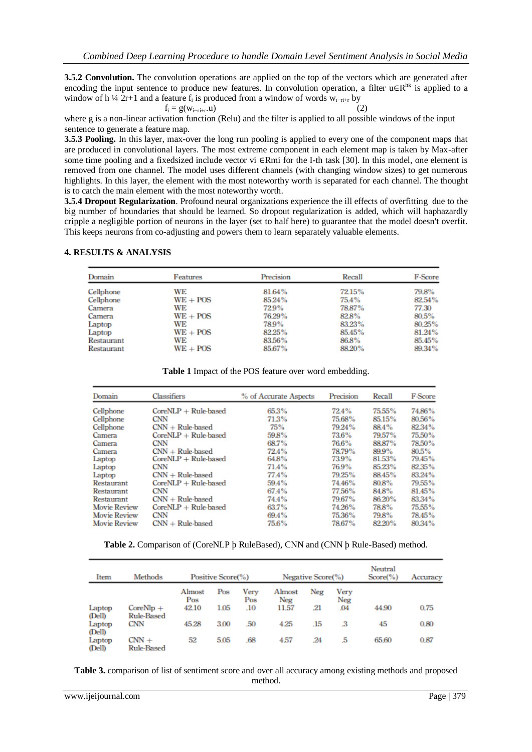**3.5.2 Convolution.** The convolution operations are applied on the top of the vectors which are generated after encoding the input sentence to produce new features. In convolution operation, a filter  $u \in R^{hk}$  is applied to a window of h ¼ 2r+1 and a feature  $f_i$  is produced from a window of words  $w_{i-n+r}$  by

$$
f_i = g(w_{i-ri+r}.u)
$$
 (2)

where g is a non-linear activation function (Relu) and the filter is applied to all possible windows of the input sentence to generate a feature map.

**3.5.3 Pooling.** In this layer, max-over the long run pooling is applied to every one of the component maps that are produced in convolutional layers. The most extreme component in each element map is taken by Max-after some time pooling and a fixedsized include vector vi ∈Rmi for the I-th task [30]. In this model, one element is removed from one channel. The model uses different channels (with changing window sizes) to get numerous highlights. In this layer, the element with the most noteworthy worth is separated for each channel. The thought is to catch the main element with the most noteworthy worth.

**3.5.4 Dropout Regularization**. Profound neural organizations experience the ill effects of overfitting due to the big number of boundaries that should be learned. So dropout regularization is added, which will haphazardly cripple a negligible portion of neurons in the layer (set to half here) to guarantee that the model doesn't overfit. This keeps neurons from co-adjusting and powers them to learn separately valuable elements.

#### **4. RESULTS & ANALYSIS**

| Domain            | Features   | Precision | Recall | F-Score |
|-------------------|------------|-----------|--------|---------|
| Cellphone         | WE         | 81.64%    | 72.15% | 79.8%   |
| Cellphone         | $WE + POS$ | 85.24%    | 75.4%  | 82.54%  |
| Camera            | WE         | 72.9%     | 78.87% | 77.30   |
| Camera            | $WE + POS$ | 76.29%    | 82.8%  | 80.5%   |
| Laptop            | WE         | 78.9%     | 83.23% | 80.25%  |
| Laptop            | $WE + POS$ | 82.25%    | 85.45% | 81.24%  |
| <b>Restaurant</b> | WE         | 83.56%    | 86.8%  | 85.45%  |
| <b>Restaurant</b> | $WE + POS$ | 85.67%    | 88.20% | 89.34%  |

**Table 1** Impact of the POS feature over word embedding.

| Domain              | Classifiers            | % of Accurate Aspects | Precision | Recall | <b>F-Score</b> |
|---------------------|------------------------|-----------------------|-----------|--------|----------------|
| Cellphone           | $CoreNLP + Rule-based$ | 65.3%                 | 72.4%     | 75.55% | 74.86%         |
| Cellphone           | <b>CNN</b>             | 71.3%                 | 75.68%    | 85.15% | 80.56%         |
| Cellphone           | $CNN + Rule$ -based    | 75%                   | 79.24%    | 88.4%  | 82.34%         |
| Camera              | $CoreNLP + Rule-based$ | 59.8%                 | 73.6%     | 79.57% | 75.50%         |
| Camera              | <b>CNN</b>             | 68.7%                 | 76.6%     | 88.87% | 78.50%         |
| Camera              | $CNN + Rule$ -based    | 72.4%                 | 78.79%    | 899%   | 80.5%          |
| Laptop              | $CoreNLP + Rule-based$ | 64.8%                 | 73.9%     | 81.53% | 79.45%         |
| Laptop              | <b>CNN</b>             | 71.4%                 | 76.9%     | 85.23% | 82.35%         |
| Laptop              | $CNN + Rule$ -based    | 77.4%                 | 79.25%    | 88.45% | 83.24%         |
| Restaurant          | $CoreNLP + Rule-based$ | 59.4%                 | 74.46%    | 80.8%  | 79.55%         |
| Restaurant          | <b>CNN</b>             | 67.4%                 | 77.56%    | 84.8%  | 81.45%         |
| Restaurant          | $CNN + Rule-based$     | 74.4%                 | 79.67%    | 86.20% | 83.34%         |
| <b>Movie Review</b> | $CoreNLP + Rule-based$ | 63.7%                 | 74.26%    | 78.8%  | 75.55%         |
| <b>Movie Review</b> | <b>CNN</b>             | 69.4%                 | 75.36%    | 79.8%  | 78.45%         |
| <b>Movie Review</b> | $CNN + Rule$ -based    | 75.6%                 | 78.67%    | 82.20% | 80.34%         |

**Table 2.** Comparison of (CoreNLP þ RuleBased), CNN and (CNN þ Rule-Based) method.

| Item             | Methods                          |               | Positive Score(%) |             |               | Negative Score(%) |             | Neutral<br>$Score(\%)$ | Accuracy |
|------------------|----------------------------------|---------------|-------------------|-------------|---------------|-------------------|-------------|------------------------|----------|
|                  |                                  | Almost<br>Pos | Pos               | Verv<br>Pos | Almost<br>Neg | Neg               | Very<br>Neg |                        |          |
| Laptop<br>(Dell) | $CoreNlp +$<br><b>Rule-Based</b> | 42.10         | 1.05              | .10         | 11.57         | .21               | .04         | 44.90                  | 0.75     |
| Laptop<br>(Dell) | <b>CNN</b>                       | 45.28         | 3.00              | .50         | 4.25          | .15               | з           | 45                     | 0.80     |
| Laptop<br>(Dell) | $CNN +$<br><b>Rule-Based</b>     | 52            | 5.05              | .68         | 4.57          | .24               | .5          | 65.60                  | 0.87     |

**Table 3.** comparison of list of sentiment score and over all accuracy among existing methods and proposed method.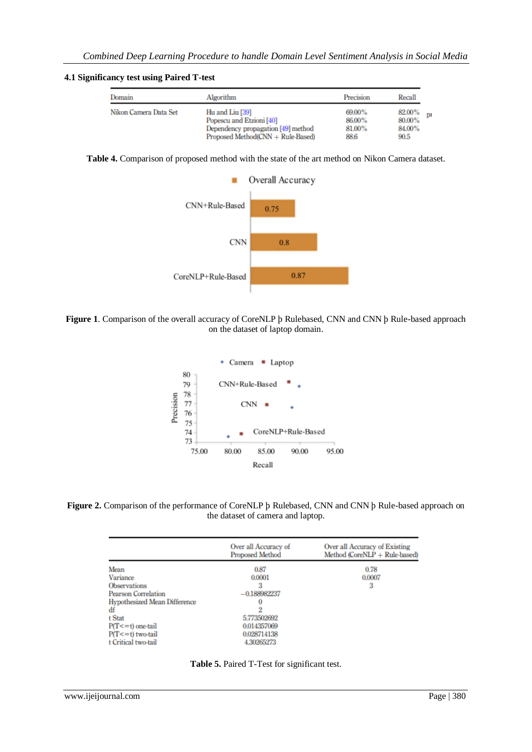#### **4.1 Significancy test using Paired T-test**

| Domain                | Algorithm                                   | Precision        | Recall                 |
|-----------------------|---------------------------------------------|------------------|------------------------|
| Nikon Camera Data Set | Hu and Liu [39]<br>Popescu and Etzioni [40] | 69.00%<br>86.00% | 82.00%<br>pı<br>80.00% |
|                       | Dependency propagation [49] method          | 81.00%           | 84.00%                 |
|                       | Proposed Method(CNN + Rule-Based)           | 88.6             | 90.5                   |

**Table 4.** Comparison of proposed method with the state of the art method on Nikon Camera dataset.



**Figure 1**. Comparison of the overall accuracy of CoreNLP þ Rulebased, CNN and CNN þ Rule-based approach on the dataset of laptop domain.



**Figure 2.** Comparison of the performance of CoreNLP þ Rulebased, CNN and CNN þ Rule-based approach on the dataset of camera and laptop.

| Over all Accuracy of<br><b>Proposed Method</b> | Over all Accuracy of Existing<br>Method ( $CoreNLP + Rule$ -based) |
|------------------------------------------------|--------------------------------------------------------------------|
| 0.87                                           | 0.78                                                               |
| 0.0001                                         | 0.0007                                                             |
|                                                | 3                                                                  |
| $-0.188982237$                                 |                                                                    |
| o                                              |                                                                    |
|                                                |                                                                    |
| 5.773502692                                    |                                                                    |
| 0.014357069                                    |                                                                    |
| 0.028714138                                    |                                                                    |
| 4.30265273                                     |                                                                    |
|                                                |                                                                    |